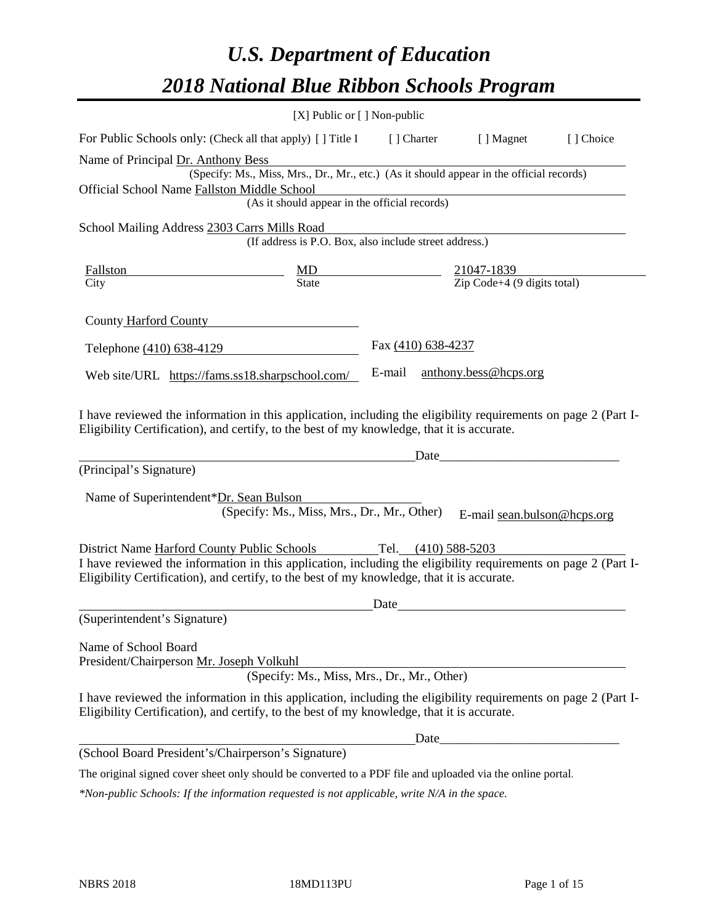# *U.S. Department of Education 2018 National Blue Ribbon Schools Program*

|                                                                                                                                                                                                              | [X] Public or [] Non-public                            |                    |                                                                                          |           |
|--------------------------------------------------------------------------------------------------------------------------------------------------------------------------------------------------------------|--------------------------------------------------------|--------------------|------------------------------------------------------------------------------------------|-----------|
| For Public Schools only: (Check all that apply) [] Title I                                                                                                                                                   |                                                        | [ ] Charter        | [ ] Magnet                                                                               | [] Choice |
| Name of Principal Dr. Anthony Bess                                                                                                                                                                           |                                                        |                    |                                                                                          |           |
|                                                                                                                                                                                                              |                                                        |                    | (Specify: Ms., Miss, Mrs., Dr., Mr., etc.) (As it should appear in the official records) |           |
| Official School Name Fallston Middle School                                                                                                                                                                  | (As it should appear in the official records)          |                    |                                                                                          |           |
|                                                                                                                                                                                                              |                                                        |                    |                                                                                          |           |
| School Mailing Address 2303 Carrs Mills Road                                                                                                                                                                 | (If address is P.O. Box, also include street address.) |                    |                                                                                          |           |
| Fallston                                                                                                                                                                                                     | $\frac{MD}{State}$                                     |                    | $\frac{21047 - 1839}{\text{Zip Code} + 4 (9 digits total)}$                              |           |
| City                                                                                                                                                                                                         |                                                        |                    |                                                                                          |           |
| County Harford County                                                                                                                                                                                        |                                                        |                    |                                                                                          |           |
| Telephone (410) 638-4129                                                                                                                                                                                     |                                                        | Fax (410) 638-4237 |                                                                                          |           |
| Web site/URL https://fams.ss18.sharpschool.com/                                                                                                                                                              |                                                        | E-mail             | anthony.bess@hcps.org                                                                    |           |
| (Principal's Signature)<br>Name of Superintendent*Dr. Sean Bulson                                                                                                                                            |                                                        | Date               |                                                                                          |           |
|                                                                                                                                                                                                              | (Specify: Ms., Miss, Mrs., Dr., Mr., Other)            |                    | E-mail sean.bulson@hcps.org                                                              |           |
| District Name Harford County Public Schools                                                                                                                                                                  |                                                        |                    | Tel. (410) 588-5203                                                                      |           |
| I have reviewed the information in this application, including the eligibility requirements on page 2 (Part I-<br>Eligibility Certification), and certify, to the best of my knowledge, that it is accurate. |                                                        |                    |                                                                                          |           |
|                                                                                                                                                                                                              |                                                        | Date               |                                                                                          |           |
| (Superintendent's Signature)                                                                                                                                                                                 |                                                        |                    |                                                                                          |           |
| Name of School Board<br>President/Chairperson Mr. Joseph Volkuhl                                                                                                                                             | (Specify: Ms., Miss, Mrs., Dr., Mr., Other)            |                    |                                                                                          |           |
| I have reviewed the information in this application, including the eligibility requirements on page 2 (Part I-<br>Eligibility Certification), and certify, to the best of my knowledge, that it is accurate. |                                                        |                    |                                                                                          |           |
|                                                                                                                                                                                                              |                                                        |                    |                                                                                          |           |
| (School Board President's/Chairperson's Signature)                                                                                                                                                           |                                                        |                    |                                                                                          |           |
| The original signed cover sheet only should be converted to a PDF file and uploaded via the online portal.                                                                                                   |                                                        |                    |                                                                                          |           |

*\*Non-public Schools: If the information requested is not applicable, write N/A in the space.*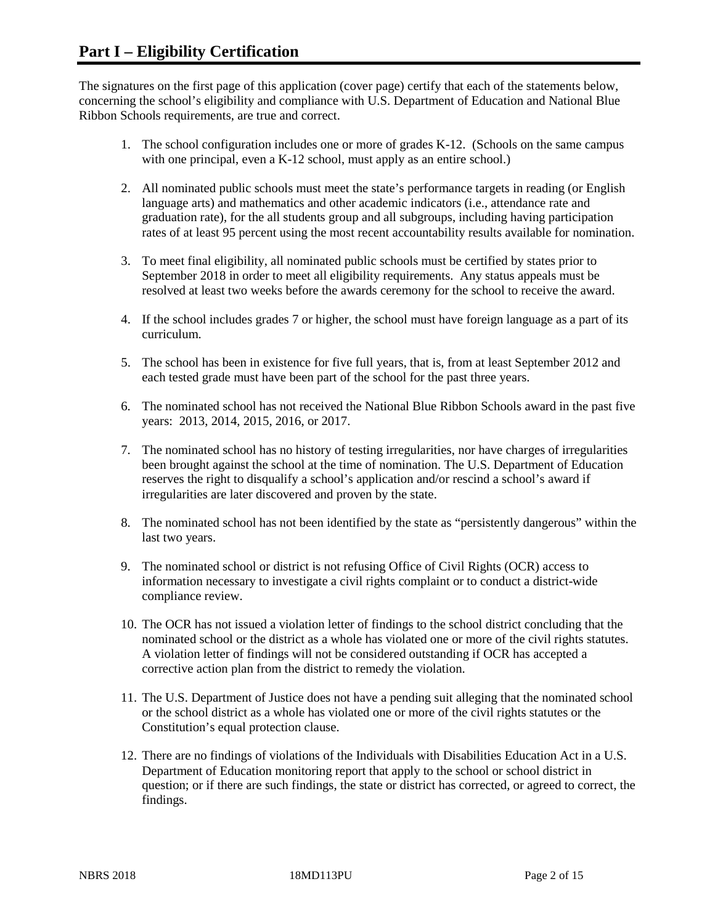The signatures on the first page of this application (cover page) certify that each of the statements below, concerning the school's eligibility and compliance with U.S. Department of Education and National Blue Ribbon Schools requirements, are true and correct.

- 1. The school configuration includes one or more of grades K-12. (Schools on the same campus with one principal, even a K-12 school, must apply as an entire school.)
- 2. All nominated public schools must meet the state's performance targets in reading (or English language arts) and mathematics and other academic indicators (i.e., attendance rate and graduation rate), for the all students group and all subgroups, including having participation rates of at least 95 percent using the most recent accountability results available for nomination.
- 3. To meet final eligibility, all nominated public schools must be certified by states prior to September 2018 in order to meet all eligibility requirements. Any status appeals must be resolved at least two weeks before the awards ceremony for the school to receive the award.
- 4. If the school includes grades 7 or higher, the school must have foreign language as a part of its curriculum.
- 5. The school has been in existence for five full years, that is, from at least September 2012 and each tested grade must have been part of the school for the past three years.
- 6. The nominated school has not received the National Blue Ribbon Schools award in the past five years: 2013, 2014, 2015, 2016, or 2017.
- 7. The nominated school has no history of testing irregularities, nor have charges of irregularities been brought against the school at the time of nomination. The U.S. Department of Education reserves the right to disqualify a school's application and/or rescind a school's award if irregularities are later discovered and proven by the state.
- 8. The nominated school has not been identified by the state as "persistently dangerous" within the last two years.
- 9. The nominated school or district is not refusing Office of Civil Rights (OCR) access to information necessary to investigate a civil rights complaint or to conduct a district-wide compliance review.
- 10. The OCR has not issued a violation letter of findings to the school district concluding that the nominated school or the district as a whole has violated one or more of the civil rights statutes. A violation letter of findings will not be considered outstanding if OCR has accepted a corrective action plan from the district to remedy the violation.
- 11. The U.S. Department of Justice does not have a pending suit alleging that the nominated school or the school district as a whole has violated one or more of the civil rights statutes or the Constitution's equal protection clause.
- 12. There are no findings of violations of the Individuals with Disabilities Education Act in a U.S. Department of Education monitoring report that apply to the school or school district in question; or if there are such findings, the state or district has corrected, or agreed to correct, the findings.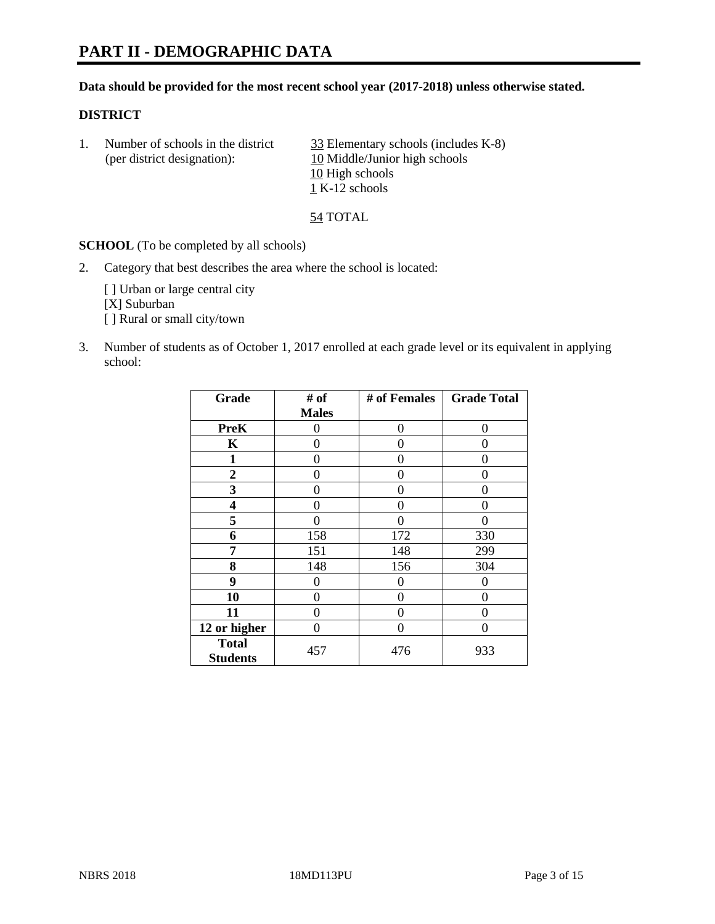# **PART II - DEMOGRAPHIC DATA**

#### **Data should be provided for the most recent school year (2017-2018) unless otherwise stated.**

#### **DISTRICT**

1. Number of schools in the district  $\frac{33}{25}$  Elementary schools (includes K-8) (per district designation): 10 Middle/Junior high schools 10 High schools 1 K-12 schools

54 TOTAL

**SCHOOL** (To be completed by all schools)

2. Category that best describes the area where the school is located:

[] Urban or large central city [X] Suburban [] Rural or small city/town

3. Number of students as of October 1, 2017 enrolled at each grade level or its equivalent in applying school:

| Grade                           | # of         | # of Females | <b>Grade Total</b> |
|---------------------------------|--------------|--------------|--------------------|
|                                 | <b>Males</b> |              |                    |
| <b>PreK</b>                     | 0            | $\Omega$     | 0                  |
| K                               | 0            | 0            | 0                  |
| 1                               | 0            | 0            | 0                  |
| 2                               | 0            | 0            | 0                  |
| 3                               | 0            | 0            | 0                  |
| 4                               | 0            | 0            | 0                  |
| 5                               | 0            | 0            |                    |
| 6                               | 158          | 172          | 330                |
| 7                               | 151          | 148          | 299                |
| 8                               | 148          | 156          | 304                |
| 9                               | 0            | 0            | 0                  |
| 10                              | 0            | 0            | 0                  |
| 11                              | 0            | 0            | 0                  |
| 12 or higher                    | 0            | 0            | 0                  |
| <b>Total</b><br><b>Students</b> | 457          | 476          | 933                |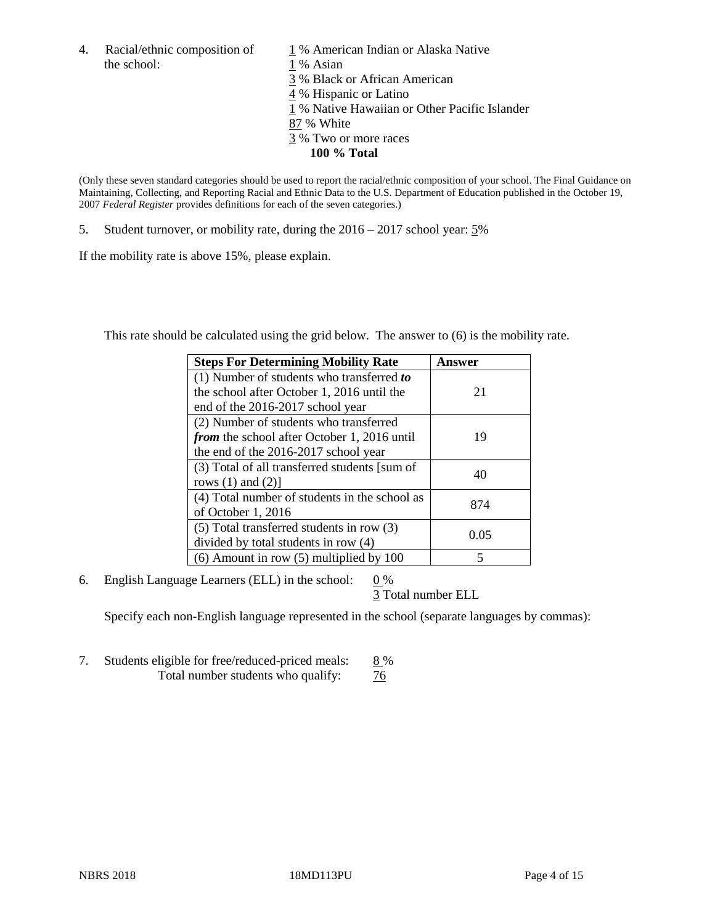4. Racial/ethnic composition of  $1\%$  American Indian or Alaska Native the school: 1 % Asian

 % Black or African American % Hispanic or Latino % Native Hawaiian or Other Pacific Islander 87 % White % Two or more races **100 % Total**

(Only these seven standard categories should be used to report the racial/ethnic composition of your school. The Final Guidance on Maintaining, Collecting, and Reporting Racial and Ethnic Data to the U.S. Department of Education published in the October 19, 2007 *Federal Register* provides definitions for each of the seven categories.)

5. Student turnover, or mobility rate, during the 2016 – 2017 school year: 5%

If the mobility rate is above 15%, please explain.

This rate should be calculated using the grid below. The answer to (6) is the mobility rate.

| <b>Steps For Determining Mobility Rate</b>         | Answer |
|----------------------------------------------------|--------|
| (1) Number of students who transferred to          |        |
| the school after October 1, 2016 until the         | 21     |
| end of the 2016-2017 school year                   |        |
| (2) Number of students who transferred             |        |
| <i>from</i> the school after October 1, 2016 until | 19     |
| the end of the 2016-2017 school year               |        |
| (3) Total of all transferred students [sum of      |        |
| rows $(1)$ and $(2)$ ]                             | 40     |
| (4) Total number of students in the school as      |        |
| of October 1, 2016                                 | 874    |
| (5) Total transferred students in row (3)          |        |
| divided by total students in row (4)               | 0.05   |
| $(6)$ Amount in row $(5)$ multiplied by 100        | 5      |

6. English Language Learners (ELL) in the school:  $0\%$ 

3 Total number ELL

Specify each non-English language represented in the school (separate languages by commas):

7. Students eligible for free/reduced-priced meals: 8 % Total number students who qualify:  $\frac{76}{6}$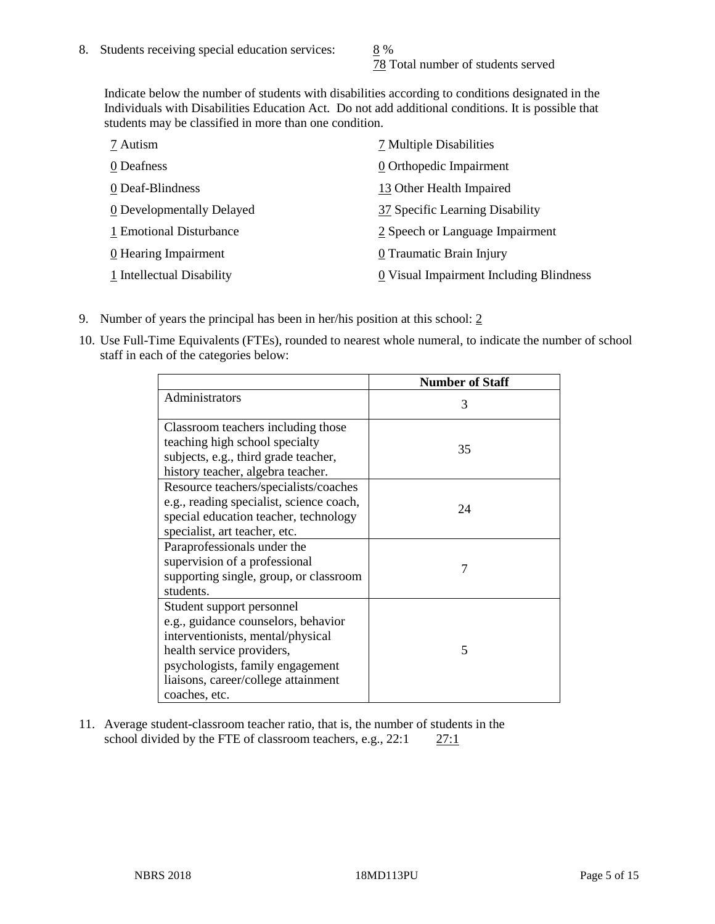78 Total number of students served

Indicate below the number of students with disabilities according to conditions designated in the Individuals with Disabilities Education Act. Do not add additional conditions. It is possible that students may be classified in more than one condition.

| 7 Autism                  | 7 Multiple Disabilities                 |
|---------------------------|-----------------------------------------|
| 0 Deafness                | 0 Orthopedic Impairment                 |
| 0 Deaf-Blindness          | 13 Other Health Impaired                |
| 0 Developmentally Delayed | 37 Specific Learning Disability         |
| 1 Emotional Disturbance   | 2 Speech or Language Impairment         |
| 0 Hearing Impairment      | 0 Traumatic Brain Injury                |
| 1 Intellectual Disability | 0 Visual Impairment Including Blindness |

- 9. Number of years the principal has been in her/his position at this school:  $2$
- 10. Use Full-Time Equivalents (FTEs), rounded to nearest whole numeral, to indicate the number of school staff in each of the categories below:

|                                                                                                                                                                                                                                | <b>Number of Staff</b> |
|--------------------------------------------------------------------------------------------------------------------------------------------------------------------------------------------------------------------------------|------------------------|
| Administrators                                                                                                                                                                                                                 | 3                      |
| Classroom teachers including those<br>teaching high school specialty<br>subjects, e.g., third grade teacher,<br>history teacher, algebra teacher.                                                                              | 35                     |
| Resource teachers/specialists/coaches<br>e.g., reading specialist, science coach,<br>special education teacher, technology<br>specialist, art teacher, etc.                                                                    | 24                     |
| Paraprofessionals under the<br>supervision of a professional<br>supporting single, group, or classroom<br>students.                                                                                                            | 7                      |
| Student support personnel<br>e.g., guidance counselors, behavior<br>interventionists, mental/physical<br>health service providers,<br>psychologists, family engagement<br>liaisons, career/college attainment<br>coaches, etc. | 5                      |

11. Average student-classroom teacher ratio, that is, the number of students in the school divided by the FTE of classroom teachers, e.g.,  $22:1$  27:1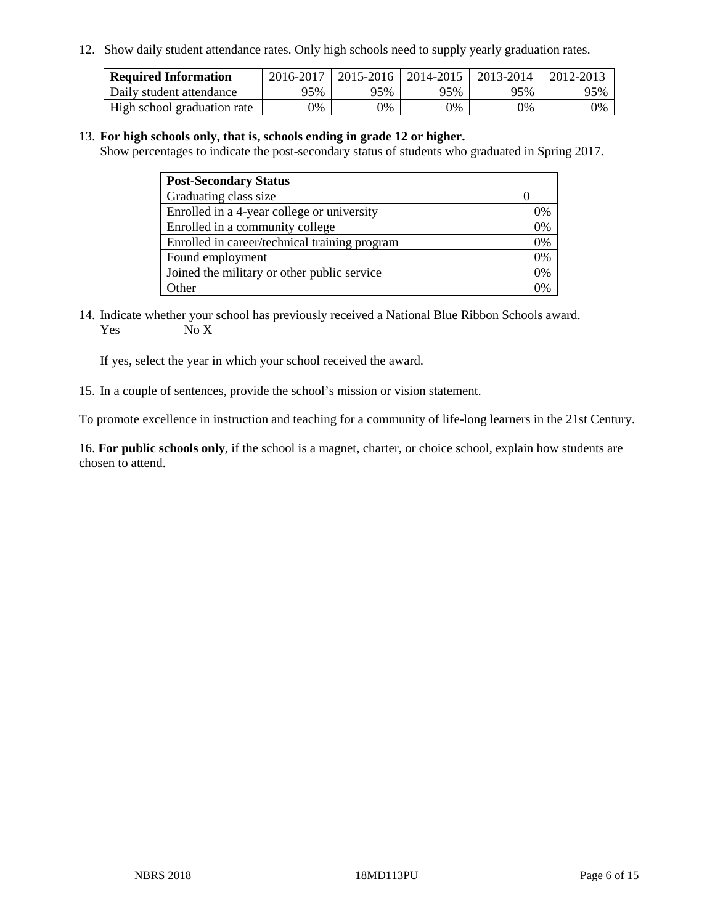12. Show daily student attendance rates. Only high schools need to supply yearly graduation rates.

| <b>Required Information</b> | 2016-2017 | 2015-2016 | $12014 - 2015$ | 2013-2014 | 2012-2013 |
|-----------------------------|-----------|-----------|----------------|-----------|-----------|
| Daily student attendance    | 95%       | 95%       | 95%            | 95%       | 95%       |
| High school graduation rate | 0%        | 0%        | 0%             | 9%        | 0%        |

#### 13. **For high schools only, that is, schools ending in grade 12 or higher.**

Show percentages to indicate the post-secondary status of students who graduated in Spring 2017.

| <b>Post-Secondary Status</b>                  |              |
|-----------------------------------------------|--------------|
| Graduating class size                         |              |
| Enrolled in a 4-year college or university    | 0%           |
| Enrolled in a community college               | 0%           |
| Enrolled in career/technical training program | 0%           |
| Found employment                              | 0%           |
| Joined the military or other public service   | 0%           |
| Other                                         | $\gamma_{0}$ |

14. Indicate whether your school has previously received a National Blue Ribbon Schools award. Yes No X

If yes, select the year in which your school received the award.

15. In a couple of sentences, provide the school's mission or vision statement.

To promote excellence in instruction and teaching for a community of life-long learners in the 21st Century.

16. **For public schools only**, if the school is a magnet, charter, or choice school, explain how students are chosen to attend.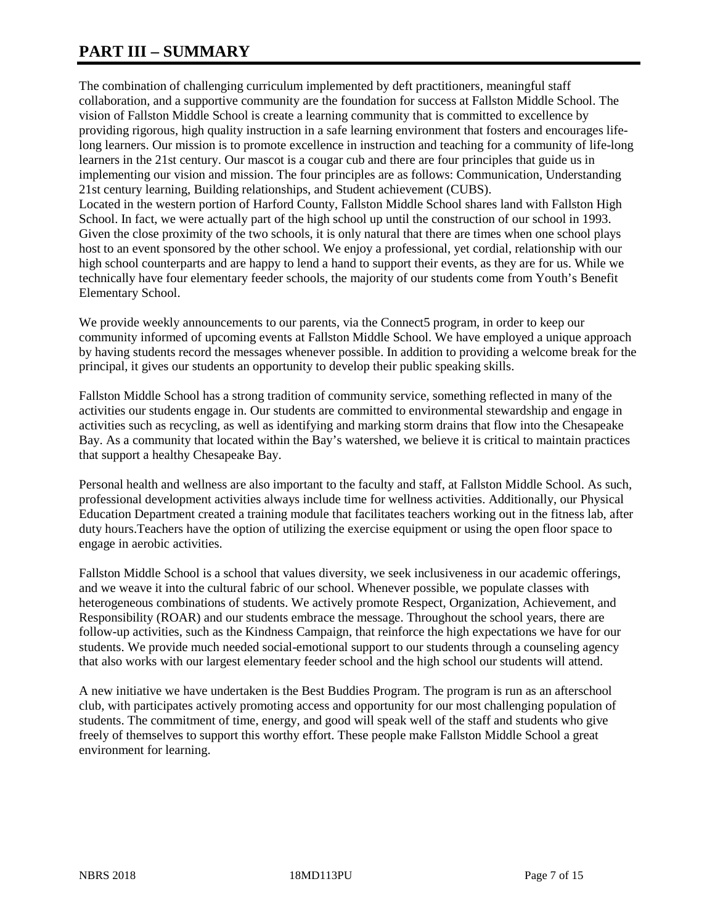# **PART III – SUMMARY**

The combination of challenging curriculum implemented by deft practitioners, meaningful staff collaboration, and a supportive community are the foundation for success at Fallston Middle School. The vision of Fallston Middle School is create a learning community that is committed to excellence by providing rigorous, high quality instruction in a safe learning environment that fosters and encourages lifelong learners. Our mission is to promote excellence in instruction and teaching for a community of life-long learners in the 21st century. Our mascot is a cougar cub and there are four principles that guide us in implementing our vision and mission. The four principles are as follows: Communication, Understanding 21st century learning, Building relationships, and Student achievement (CUBS). Located in the western portion of Harford County, Fallston Middle School shares land with Fallston High School. In fact, we were actually part of the high school up until the construction of our school in 1993. Given the close proximity of the two schools, it is only natural that there are times when one school plays host to an event sponsored by the other school. We enjoy a professional, yet cordial, relationship with our high school counterparts and are happy to lend a hand to support their events, as they are for us. While we technically have four elementary feeder schools, the majority of our students come from Youth's Benefit Elementary School.

We provide weekly announcements to our parents, via the Connect5 program, in order to keep our community informed of upcoming events at Fallston Middle School. We have employed a unique approach by having students record the messages whenever possible. In addition to providing a welcome break for the principal, it gives our students an opportunity to develop their public speaking skills.

Fallston Middle School has a strong tradition of community service, something reflected in many of the activities our students engage in. Our students are committed to environmental stewardship and engage in activities such as recycling, as well as identifying and marking storm drains that flow into the Chesapeake Bay. As a community that located within the Bay's watershed, we believe it is critical to maintain practices that support a healthy Chesapeake Bay.

Personal health and wellness are also important to the faculty and staff, at Fallston Middle School. As such, professional development activities always include time for wellness activities. Additionally, our Physical Education Department created a training module that facilitates teachers working out in the fitness lab, after duty hours.Teachers have the option of utilizing the exercise equipment or using the open floor space to engage in aerobic activities.

Fallston Middle School is a school that values diversity, we seek inclusiveness in our academic offerings, and we weave it into the cultural fabric of our school. Whenever possible, we populate classes with heterogeneous combinations of students. We actively promote Respect, Organization, Achievement, and Responsibility (ROAR) and our students embrace the message. Throughout the school years, there are follow-up activities, such as the Kindness Campaign, that reinforce the high expectations we have for our students. We provide much needed social-emotional support to our students through a counseling agency that also works with our largest elementary feeder school and the high school our students will attend.

A new initiative we have undertaken is the Best Buddies Program. The program is run as an afterschool club, with participates actively promoting access and opportunity for our most challenging population of students. The commitment of time, energy, and good will speak well of the staff and students who give freely of themselves to support this worthy effort. These people make Fallston Middle School a great environment for learning.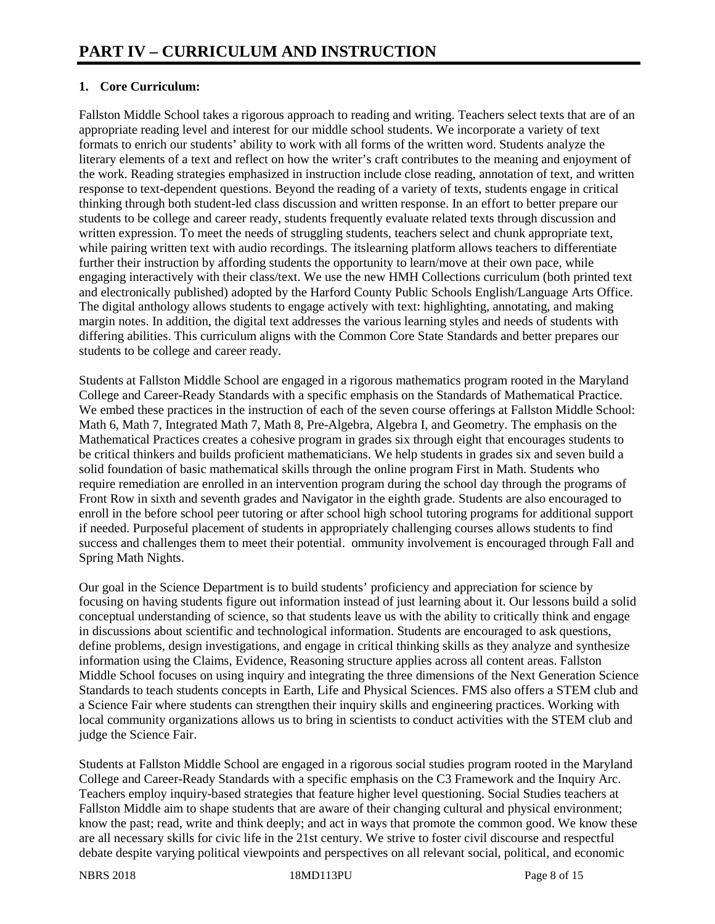# **1. Core Curriculum:**

Fallston Middle School takes a rigorous approach to reading and writing. Teachers select texts that are of an appropriate reading level and interest for our middle school students. We incorporate a variety of text formats to enrich our students' ability to work with all forms of the written word. Students analyze the literary elements of a text and reflect on how the writer's craft contributes to the meaning and enjoyment of the work. Reading strategies emphasized in instruction include close reading, annotation of text, and written response to text-dependent questions. Beyond the reading of a variety of texts, students engage in critical thinking through both student-led class discussion and written response. In an effort to better prepare our students to be college and career ready, students frequently evaluate related texts through discussion and written expression. To meet the needs of struggling students, teachers select and chunk appropriate text, while pairing written text with audio recordings. The itslearning platform allows teachers to differentiate further their instruction by affording students the opportunity to learn/move at their own pace, while engaging interactively with their class/text. We use the new HMH Collections curriculum (both printed text and electronically published) adopted by the Harford County Public Schools English/Language Arts Office. The digital anthology allows students to engage actively with text: highlighting, annotating, and making margin notes. In addition, the digital text addresses the various learning styles and needs of students with differing abilities. This curriculum aligns with the Common Core State Standards and better prepares our students to be college and career ready.

Students at Fallston Middle School are engaged in a rigorous mathematics program rooted in the Maryland College and Career-Ready Standards with a specific emphasis on the Standards of Mathematical Practice. We embed these practices in the instruction of each of the seven course offerings at Fallston Middle School: Math 6, Math 7, Integrated Math 7, Math 8, Pre-Algebra, Algebra I, and Geometry. The emphasis on the Mathematical Practices creates a cohesive program in grades six through eight that encourages students to be critical thinkers and builds proficient mathematicians. We help students in grades six and seven build a solid foundation of basic mathematical skills through the online program First in Math. Students who require remediation are enrolled in an intervention program during the school day through the programs of Front Row in sixth and seventh grades and Navigator in the eighth grade. Students are also encouraged to enroll in the before school peer tutoring or after school high school tutoring programs for additional support if needed. Purposeful placement of students in appropriately challenging courses allows students to find success and challenges them to meet their potential. ommunity involvement is encouraged through Fall and Spring Math Nights.

Our goal in the Science Department is to build students' proficiency and appreciation for science by focusing on having students figure out information instead of just learning about it. Our lessons build a solid conceptual understanding of science, so that students leave us with the ability to critically think and engage in discussions about scientific and technological information. Students are encouraged to ask questions, define problems, design investigations, and engage in critical thinking skills as they analyze and synthesize information using the Claims, Evidence, Reasoning structure applies across all content areas. Fallston Middle School focuses on using inquiry and integrating the three dimensions of the Next Generation Science Standards to teach students concepts in Earth, Life and Physical Sciences. FMS also offers a STEM club and a Science Fair where students can strengthen their inquiry skills and engineering practices. Working with local community organizations allows us to bring in scientists to conduct activities with the STEM club and judge the Science Fair.

Students at Fallston Middle School are engaged in a rigorous social studies program rooted in the Maryland College and Career-Ready Standards with a specific emphasis on the C3 Framework and the Inquiry Arc. Teachers employ inquiry-based strategies that feature higher level questioning. Social Studies teachers at Fallston Middle aim to shape students that are aware of their changing cultural and physical environment; know the past; read, write and think deeply; and act in ways that promote the common good. We know these are all necessary skills for civic life in the 21st century. We strive to foster civil discourse and respectful debate despite varying political viewpoints and perspectives on all relevant social, political, and economic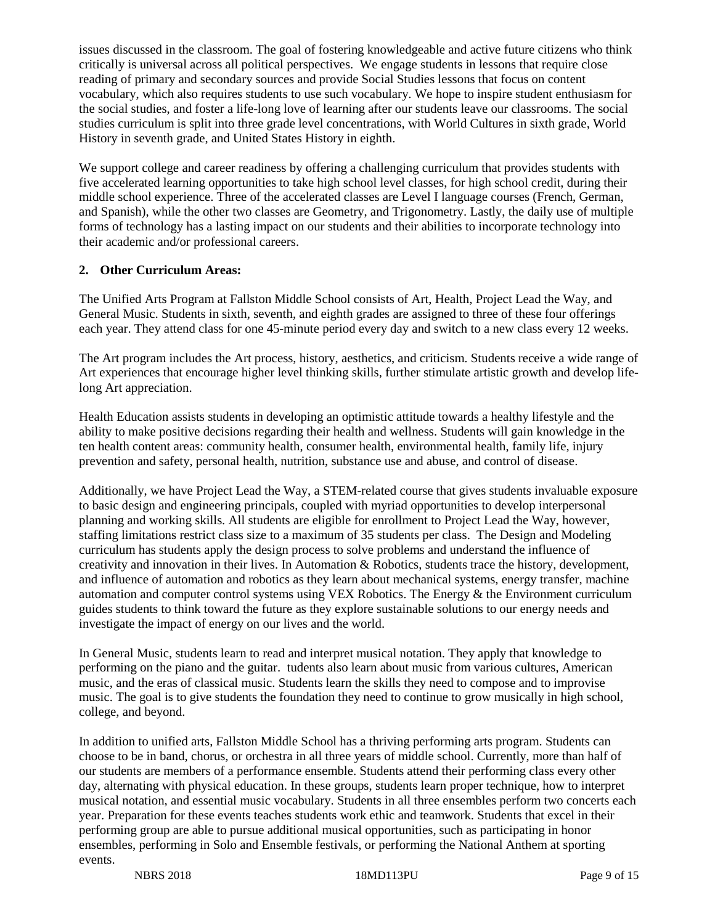issues discussed in the classroom. The goal of fostering knowledgeable and active future citizens who think critically is universal across all political perspectives. We engage students in lessons that require close reading of primary and secondary sources and provide Social Studies lessons that focus on content vocabulary, which also requires students to use such vocabulary. We hope to inspire student enthusiasm for the social studies, and foster a life-long love of learning after our students leave our classrooms. The social studies curriculum is split into three grade level concentrations, with World Cultures in sixth grade, World History in seventh grade, and United States History in eighth.

We support college and career readiness by offering a challenging curriculum that provides students with five accelerated learning opportunities to take high school level classes, for high school credit, during their middle school experience. Three of the accelerated classes are Level I language courses (French, German, and Spanish), while the other two classes are Geometry, and Trigonometry. Lastly, the daily use of multiple forms of technology has a lasting impact on our students and their abilities to incorporate technology into their academic and/or professional careers.

## **2. Other Curriculum Areas:**

The Unified Arts Program at Fallston Middle School consists of Art, Health, Project Lead the Way, and General Music. Students in sixth, seventh, and eighth grades are assigned to three of these four offerings each year. They attend class for one 45-minute period every day and switch to a new class every 12 weeks.

The Art program includes the Art process, history, aesthetics, and criticism. Students receive a wide range of Art experiences that encourage higher level thinking skills, further stimulate artistic growth and develop lifelong Art appreciation.

Health Education assists students in developing an optimistic attitude towards a healthy lifestyle and the ability to make positive decisions regarding their health and wellness. Students will gain knowledge in the ten health content areas: community health, consumer health, environmental health, family life, injury prevention and safety, personal health, nutrition, substance use and abuse, and control of disease.

Additionally, we have Project Lead the Way, a STEM-related course that gives students invaluable exposure to basic design and engineering principals, coupled with myriad opportunities to develop interpersonal planning and working skills. All students are eligible for enrollment to Project Lead the Way, however, staffing limitations restrict class size to a maximum of 35 students per class. The Design and Modeling curriculum has students apply the design process to solve problems and understand the influence of creativity and innovation in their lives. In Automation & Robotics, students trace the history, development, and influence of automation and robotics as they learn about mechanical systems, energy transfer, machine automation and computer control systems using VEX Robotics. The Energy & the Environment curriculum guides students to think toward the future as they explore sustainable solutions to our energy needs and investigate the impact of energy on our lives and the world.

In General Music, students learn to read and interpret musical notation. They apply that knowledge to performing on the piano and the guitar. tudents also learn about music from various cultures, American music, and the eras of classical music. Students learn the skills they need to compose and to improvise music. The goal is to give students the foundation they need to continue to grow musically in high school, college, and beyond.

In addition to unified arts, Fallston Middle School has a thriving performing arts program. Students can choose to be in band, chorus, or orchestra in all three years of middle school. Currently, more than half of our students are members of a performance ensemble. Students attend their performing class every other day, alternating with physical education. In these groups, students learn proper technique, how to interpret musical notation, and essential music vocabulary. Students in all three ensembles perform two concerts each year. Preparation for these events teaches students work ethic and teamwork. Students that excel in their performing group are able to pursue additional musical opportunities, such as participating in honor ensembles, performing in Solo and Ensemble festivals, or performing the National Anthem at sporting events.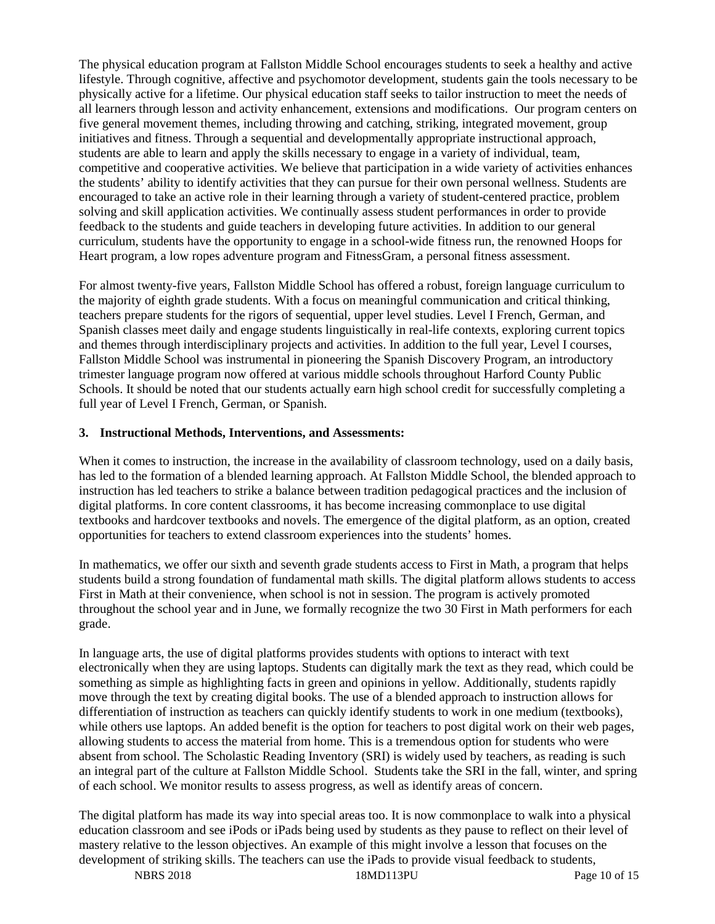The physical education program at Fallston Middle School encourages students to seek a healthy and active lifestyle. Through cognitive, affective and psychomotor development, students gain the tools necessary to be physically active for a lifetime. Our physical education staff seeks to tailor instruction to meet the needs of all learners through lesson and activity enhancement, extensions and modifications. Our program centers on five general movement themes, including throwing and catching, striking, integrated movement, group initiatives and fitness. Through a sequential and developmentally appropriate instructional approach, students are able to learn and apply the skills necessary to engage in a variety of individual, team, competitive and cooperative activities. We believe that participation in a wide variety of activities enhances the students' ability to identify activities that they can pursue for their own personal wellness. Students are encouraged to take an active role in their learning through a variety of student-centered practice, problem solving and skill application activities. We continually assess student performances in order to provide feedback to the students and guide teachers in developing future activities. In addition to our general curriculum, students have the opportunity to engage in a school-wide fitness run, the renowned Hoops for Heart program, a low ropes adventure program and FitnessGram, a personal fitness assessment.

For almost twenty-five years, Fallston Middle School has offered a robust, foreign language curriculum to the majority of eighth grade students. With a focus on meaningful communication and critical thinking, teachers prepare students for the rigors of sequential, upper level studies. Level I French, German, and Spanish classes meet daily and engage students linguistically in real-life contexts, exploring current topics and themes through interdisciplinary projects and activities. In addition to the full year, Level I courses, Fallston Middle School was instrumental in pioneering the Spanish Discovery Program, an introductory trimester language program now offered at various middle schools throughout Harford County Public Schools. It should be noted that our students actually earn high school credit for successfully completing a full year of Level I French, German, or Spanish.

#### **3. Instructional Methods, Interventions, and Assessments:**

When it comes to instruction, the increase in the availability of classroom technology, used on a daily basis, has led to the formation of a blended learning approach. At Fallston Middle School, the blended approach to instruction has led teachers to strike a balance between tradition pedagogical practices and the inclusion of digital platforms. In core content classrooms, it has become increasing commonplace to use digital textbooks and hardcover textbooks and novels. The emergence of the digital platform, as an option, created opportunities for teachers to extend classroom experiences into the students' homes.

In mathematics, we offer our sixth and seventh grade students access to First in Math, a program that helps students build a strong foundation of fundamental math skills. The digital platform allows students to access First in Math at their convenience, when school is not in session. The program is actively promoted throughout the school year and in June, we formally recognize the two 30 First in Math performers for each grade.

In language arts, the use of digital platforms provides students with options to interact with text electronically when they are using laptops. Students can digitally mark the text as they read, which could be something as simple as highlighting facts in green and opinions in yellow. Additionally, students rapidly move through the text by creating digital books. The use of a blended approach to instruction allows for differentiation of instruction as teachers can quickly identify students to work in one medium (textbooks), while others use laptops. An added benefit is the option for teachers to post digital work on their web pages, allowing students to access the material from home. This is a tremendous option for students who were absent from school. The Scholastic Reading Inventory (SRI) is widely used by teachers, as reading is such an integral part of the culture at Fallston Middle School. Students take the SRI in the fall, winter, and spring of each school. We monitor results to assess progress, as well as identify areas of concern.

The digital platform has made its way into special areas too. It is now commonplace to walk into a physical education classroom and see iPods or iPads being used by students as they pause to reflect on their level of mastery relative to the lesson objectives. An example of this might involve a lesson that focuses on the development of striking skills. The teachers can use the iPads to provide visual feedback to students,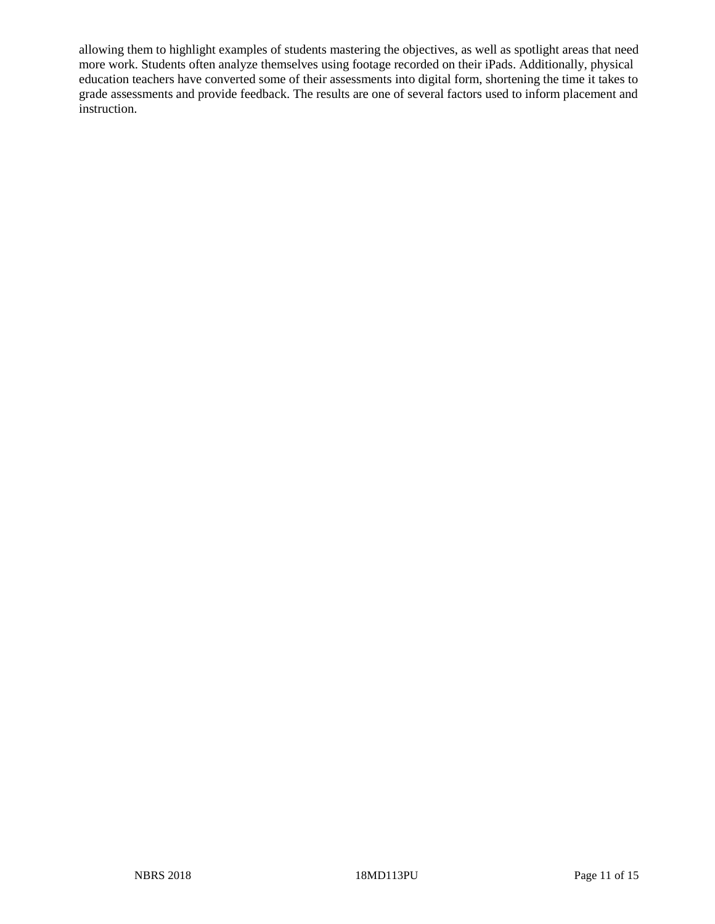allowing them to highlight examples of students mastering the objectives, as well as spotlight areas that need more work. Students often analyze themselves using footage recorded on their iPads. Additionally, physical education teachers have converted some of their assessments into digital form, shortening the time it takes to grade assessments and provide feedback. The results are one of several factors used to inform placement and instruction.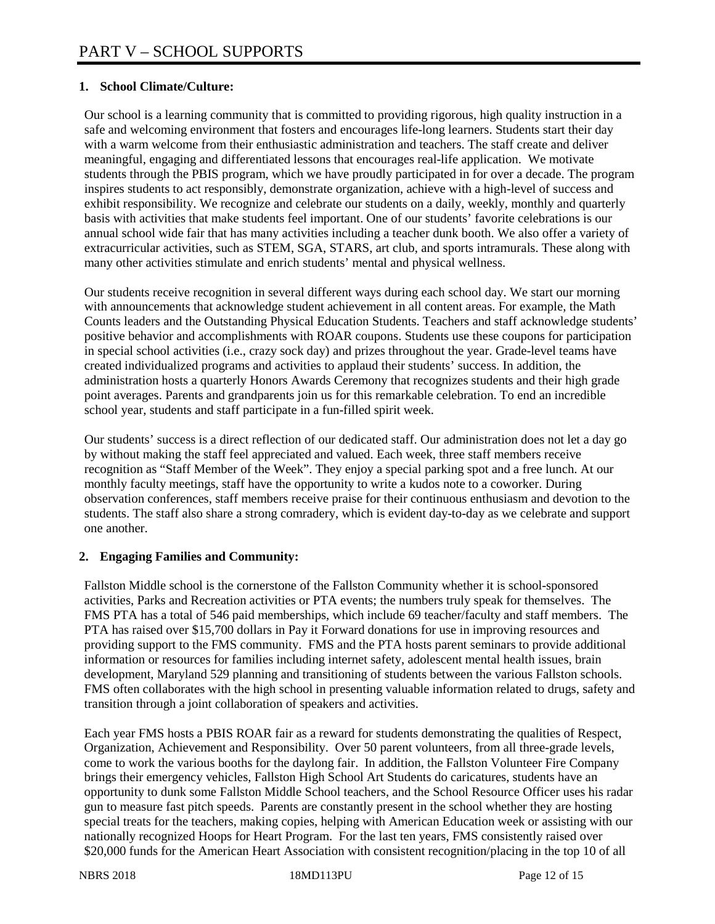## **1. School Climate/Culture:**

Our school is a learning community that is committed to providing rigorous, high quality instruction in a safe and welcoming environment that fosters and encourages life-long learners. Students start their day with a warm welcome from their enthusiastic administration and teachers. The staff create and deliver meaningful, engaging and differentiated lessons that encourages real-life application. We motivate students through the PBIS program, which we have proudly participated in for over a decade. The program inspires students to act responsibly, demonstrate organization, achieve with a high-level of success and exhibit responsibility. We recognize and celebrate our students on a daily, weekly, monthly and quarterly basis with activities that make students feel important. One of our students' favorite celebrations is our annual school wide fair that has many activities including a teacher dunk booth. We also offer a variety of extracurricular activities, such as STEM, SGA, STARS, art club, and sports intramurals. These along with many other activities stimulate and enrich students' mental and physical wellness.

Our students receive recognition in several different ways during each school day. We start our morning with announcements that acknowledge student achievement in all content areas. For example, the Math Counts leaders and the Outstanding Physical Education Students. Teachers and staff acknowledge students' positive behavior and accomplishments with ROAR coupons. Students use these coupons for participation in special school activities (i.e., crazy sock day) and prizes throughout the year. Grade-level teams have created individualized programs and activities to applaud their students' success. In addition, the administration hosts a quarterly Honors Awards Ceremony that recognizes students and their high grade point averages. Parents and grandparents join us for this remarkable celebration. To end an incredible school year, students and staff participate in a fun-filled spirit week.

Our students' success is a direct reflection of our dedicated staff. Our administration does not let a day go by without making the staff feel appreciated and valued. Each week, three staff members receive recognition as "Staff Member of the Week". They enjoy a special parking spot and a free lunch. At our monthly faculty meetings, staff have the opportunity to write a kudos note to a coworker. During observation conferences, staff members receive praise for their continuous enthusiasm and devotion to the students. The staff also share a strong comradery, which is evident day-to-day as we celebrate and support one another.

## **2. Engaging Families and Community:**

Fallston Middle school is the cornerstone of the Fallston Community whether it is school-sponsored activities, Parks and Recreation activities or PTA events; the numbers truly speak for themselves. The FMS PTA has a total of 546 paid memberships, which include 69 teacher/faculty and staff members. The PTA has raised over \$15,700 dollars in Pay it Forward donations for use in improving resources and providing support to the FMS community. FMS and the PTA hosts parent seminars to provide additional information or resources for families including internet safety, adolescent mental health issues, brain development, Maryland 529 planning and transitioning of students between the various Fallston schools. FMS often collaborates with the high school in presenting valuable information related to drugs, safety and transition through a joint collaboration of speakers and activities.

Each year FMS hosts a PBIS ROAR fair as a reward for students demonstrating the qualities of Respect, Organization, Achievement and Responsibility. Over 50 parent volunteers, from all three-grade levels, come to work the various booths for the daylong fair. In addition, the Fallston Volunteer Fire Company brings their emergency vehicles, Fallston High School Art Students do caricatures, students have an opportunity to dunk some Fallston Middle School teachers, and the School Resource Officer uses his radar gun to measure fast pitch speeds. Parents are constantly present in the school whether they are hosting special treats for the teachers, making copies, helping with American Education week or assisting with our nationally recognized Hoops for Heart Program. For the last ten years, FMS consistently raised over \$20,000 funds for the American Heart Association with consistent recognition/placing in the top 10 of all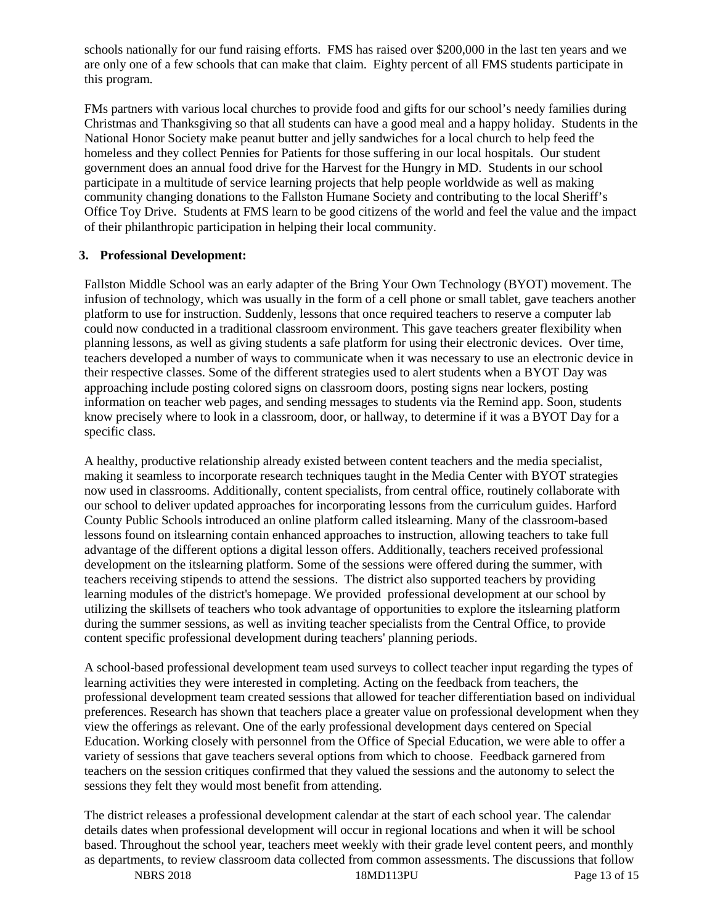schools nationally for our fund raising efforts. FMS has raised over \$200,000 in the last ten years and we are only one of a few schools that can make that claim. Eighty percent of all FMS students participate in this program.

FMs partners with various local churches to provide food and gifts for our school's needy families during Christmas and Thanksgiving so that all students can have a good meal and a happy holiday. Students in the National Honor Society make peanut butter and jelly sandwiches for a local church to help feed the homeless and they collect Pennies for Patients for those suffering in our local hospitals. Our student government does an annual food drive for the Harvest for the Hungry in MD. Students in our school participate in a multitude of service learning projects that help people worldwide as well as making community changing donations to the Fallston Humane Society and contributing to the local Sheriff's Office Toy Drive. Students at FMS learn to be good citizens of the world and feel the value and the impact of their philanthropic participation in helping their local community.

#### **3. Professional Development:**

Fallston Middle School was an early adapter of the Bring Your Own Technology (BYOT) movement. The infusion of technology, which was usually in the form of a cell phone or small tablet, gave teachers another platform to use for instruction. Suddenly, lessons that once required teachers to reserve a computer lab could now conducted in a traditional classroom environment. This gave teachers greater flexibility when planning lessons, as well as giving students a safe platform for using their electronic devices. Over time, teachers developed a number of ways to communicate when it was necessary to use an electronic device in their respective classes. Some of the different strategies used to alert students when a BYOT Day was approaching include posting colored signs on classroom doors, posting signs near lockers, posting information on teacher web pages, and sending messages to students via the Remind app. Soon, students know precisely where to look in a classroom, door, or hallway, to determine if it was a BYOT Day for a specific class.

A healthy, productive relationship already existed between content teachers and the media specialist, making it seamless to incorporate research techniques taught in the Media Center with BYOT strategies now used in classrooms. Additionally, content specialists, from central office, routinely collaborate with our school to deliver updated approaches for incorporating lessons from the curriculum guides. Harford County Public Schools introduced an online platform called itslearning. Many of the classroom-based lessons found on itslearning contain enhanced approaches to instruction, allowing teachers to take full advantage of the different options a digital lesson offers. Additionally, teachers received professional development on the itslearning platform. Some of the sessions were offered during the summer, with teachers receiving stipends to attend the sessions. The district also supported teachers by providing learning modules of the district's homepage. We provided professional development at our school by utilizing the skillsets of teachers who took advantage of opportunities to explore the itslearning platform during the summer sessions, as well as inviting teacher specialists from the Central Office, to provide content specific professional development during teachers' planning periods.

A school-based professional development team used surveys to collect teacher input regarding the types of learning activities they were interested in completing. Acting on the feedback from teachers, the professional development team created sessions that allowed for teacher differentiation based on individual preferences. Research has shown that teachers place a greater value on professional development when they view the offerings as relevant. One of the early professional development days centered on Special Education. Working closely with personnel from the Office of Special Education, we were able to offer a variety of sessions that gave teachers several options from which to choose. Feedback garnered from teachers on the session critiques confirmed that they valued the sessions and the autonomy to select the sessions they felt they would most benefit from attending.

The district releases a professional development calendar at the start of each school year. The calendar details dates when professional development will occur in regional locations and when it will be school based. Throughout the school year, teachers meet weekly with their grade level content peers, and monthly as departments, to review classroom data collected from common assessments. The discussions that follow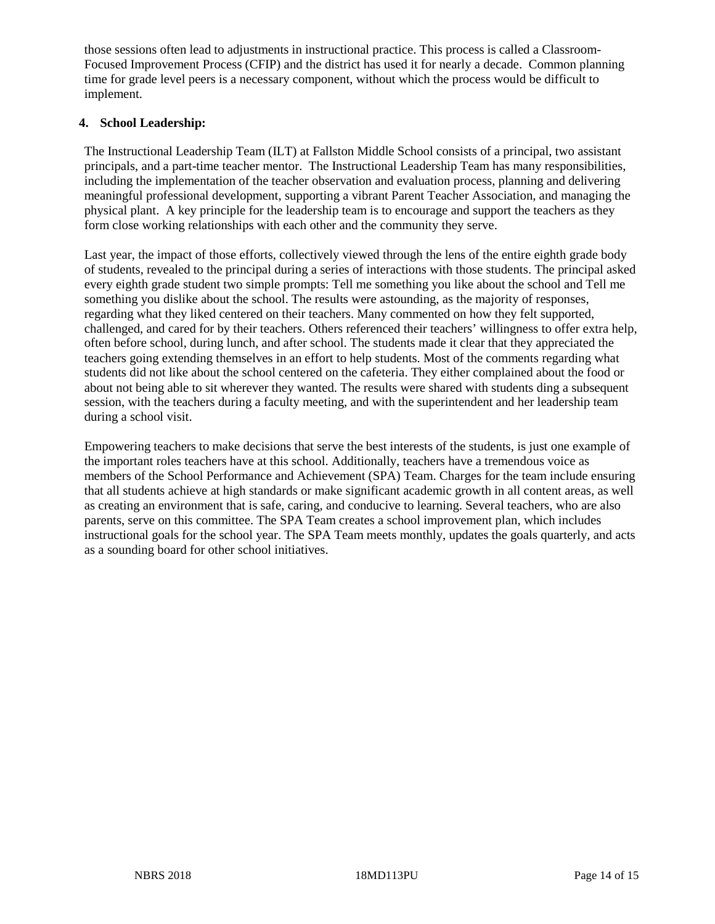those sessions often lead to adjustments in instructional practice. This process is called a Classroom-Focused Improvement Process (CFIP) and the district has used it for nearly a decade. Common planning time for grade level peers is a necessary component, without which the process would be difficult to implement.

### **4. School Leadership:**

The Instructional Leadership Team (ILT) at Fallston Middle School consists of a principal, two assistant principals, and a part-time teacher mentor. The Instructional Leadership Team has many responsibilities, including the implementation of the teacher observation and evaluation process, planning and delivering meaningful professional development, supporting a vibrant Parent Teacher Association, and managing the physical plant. A key principle for the leadership team is to encourage and support the teachers as they form close working relationships with each other and the community they serve.

Last year, the impact of those efforts, collectively viewed through the lens of the entire eighth grade body of students, revealed to the principal during a series of interactions with those students. The principal asked every eighth grade student two simple prompts: Tell me something you like about the school and Tell me something you dislike about the school. The results were astounding, as the majority of responses, regarding what they liked centered on their teachers. Many commented on how they felt supported, challenged, and cared for by their teachers. Others referenced their teachers' willingness to offer extra help, often before school, during lunch, and after school. The students made it clear that they appreciated the teachers going extending themselves in an effort to help students. Most of the comments regarding what students did not like about the school centered on the cafeteria. They either complained about the food or about not being able to sit wherever they wanted. The results were shared with students ding a subsequent session, with the teachers during a faculty meeting, and with the superintendent and her leadership team during a school visit.

Empowering teachers to make decisions that serve the best interests of the students, is just one example of the important roles teachers have at this school. Additionally, teachers have a tremendous voice as members of the School Performance and Achievement (SPA) Team. Charges for the team include ensuring that all students achieve at high standards or make significant academic growth in all content areas, as well as creating an environment that is safe, caring, and conducive to learning. Several teachers, who are also parents, serve on this committee. The SPA Team creates a school improvement plan, which includes instructional goals for the school year. The SPA Team meets monthly, updates the goals quarterly, and acts as a sounding board for other school initiatives.